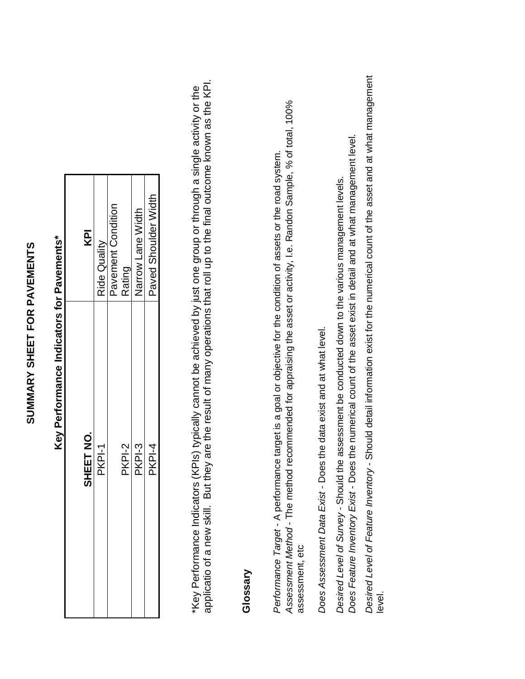## **SUMMARY SHEET FOR PAVEMENTS**  SUMMARY SHEET FOR PAVEMENTS

| SHEET NO. | KPI                  |
|-----------|----------------------|
| PKPI-1    | Ride Quality         |
|           | Pavement Condition   |
| PKPI-2    | Rating               |
| PKPI-3    | Narrow Lane Width    |
| PKPI-4    | Paved Shoulder Width |

# **Key Performance Indicators for Pavements\***  Key Performance Indicators for Pavements\*

applicatio of a new skill. But they are the result of many operations that roll up to the final outcome known as the KPI. applicatio of a new skill. But they are the result of many operations that roll up to the final outcome known as the KPI. \*Key Performance Indicators (KPIs) typically cannot be achieved by just one group or through a single activity or the \*Key Performance Indicators (KPIs) typically cannot be achieved by just one group or through a single activity or the

### **Glossary**

Assessment Method - The method recommended for appraising the asset or activity, I.e. Randon Sample, % of total, 100% Assessment Method - The method recommended for appraising the asset or activity, i.e. Randon Sample, % of total, 100% Performance Target - A performance target is a goal or objective for the condition of assets or the road system. Performance Target - A performance target is a goal or objective for the condition of assets or the road system. assessment, etc assessment, etc

Does Assessment Data Exist - Does the data exist and at what level. Does Assessment Data Exist - Does the data exist and at what level.

Does Feature Inventory Exist - Does the numerical count of the asset exist in detail and at what management level. Does Feature Inventory Exist - Does the numerical count of the asset exist in detail and at what management level. Desired Level of Survey - Should the assessment be conducted down to the various management levels. Desired Level of Survey - Should the assessment be conducted down to the various management levels.

Desired Level of Feature Inventory - Should detail information exist for the numerical count of the asset and at what management Desired Level of Feature Inventory - Should detail information exist for the numerical count of the asset and at what management level.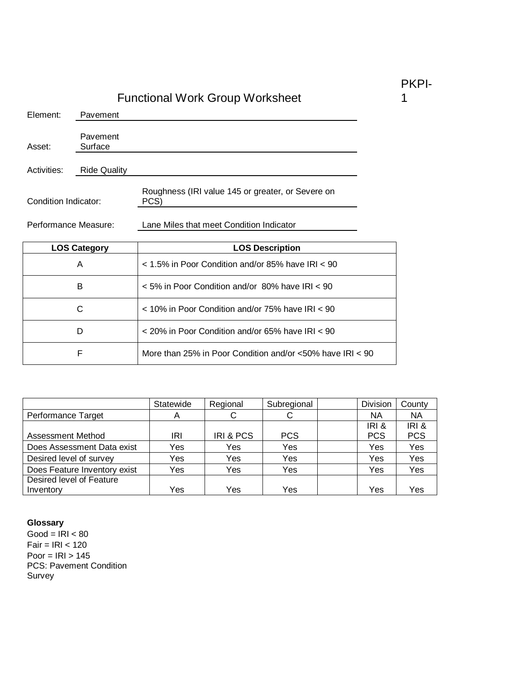| Element:             | Pavement            |                                                           |
|----------------------|---------------------|-----------------------------------------------------------|
| Asset:               | Pavement<br>Surface |                                                           |
| Activities:          | <b>Ride Quality</b> |                                                           |
| Condition Indicator: |                     | Roughness (IRI value 145 or greater, or Severe on<br>PCS) |
| Performance Measure: |                     | Lane Miles that meet Condition Indicator                  |
|                      |                     |                                                           |
|                      | <b>LOS Category</b> | <b>LOS Description</b>                                    |
|                      | A                   | $<$ 1.5% in Poor Condition and/or 85% have IRI $<$ 90     |
|                      | B                   | < 5% in Poor Condition and/or 80% have IRI < 90           |
|                      | C                   | < 10% in Poor Condition and/or 75% have IRI < 90          |
|                      | D                   | $<$ 20% in Poor Condition and/or 65% have IRI $<$ 90      |

|                              | Statewide | Regional  | Subregional | Division   | County     |
|------------------------------|-----------|-----------|-------------|------------|------------|
| Performance Target           | A         | C         | С           | <b>NA</b>  | <b>NA</b>  |
|                              |           |           |             | IRI &      | IRI&       |
| <b>Assessment Method</b>     | IRI       | IRI & PCS | <b>PCS</b>  | <b>PCS</b> | <b>PCS</b> |
| Does Assessment Data exist   | Yes       | Yes       | Yes         | Yes        | Yes        |
| Desired level of survey      | Yes       | Yes       | Yes         | Yes        | Yes        |
| Does Feature Inventory exist | Yes       | Yes       | Yes         | Yes        | Yes        |
| Desired level of Feature     |           |           |             |            |            |
| Inventory                    | Yes       | Yes       | Yes         | Yes        | Yes        |

#### **Glossary**

 $Good = IRI < 80$  $Fair = IRI < 120$ Poor =  $IRI > 145$ PCS: Pavement Condition Survey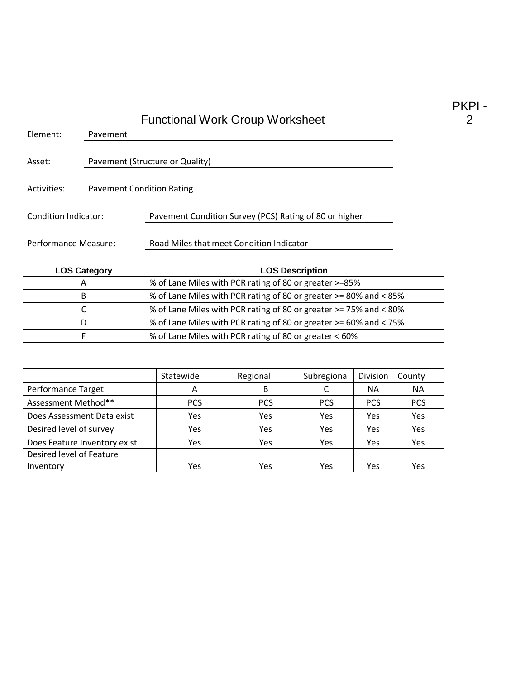| Element:             | Pavement                         |                                                        |  |  |
|----------------------|----------------------------------|--------------------------------------------------------|--|--|
| Asset:               |                                  | Pavement (Structure or Quality)                        |  |  |
| Activities:          | <b>Pavement Condition Rating</b> |                                                        |  |  |
| Condition Indicator: |                                  | Pavement Condition Survey (PCS) Rating of 80 or higher |  |  |
| Performance Measure: |                                  | Road Miles that meet Condition Indicator               |  |  |

| <b>LOS Category</b> | <b>LOS Description</b>                                            |
|---------------------|-------------------------------------------------------------------|
| А                   | % of Lane Miles with PCR rating of 80 or greater >=85%            |
| B                   | % of Lane Miles with PCR rating of 80 or greater >= 80% and < 85% |
|                     | % of Lane Miles with PCR rating of 80 or greater >= 75% and < 80% |
| D                   | % of Lane Miles with PCR rating of 80 or greater >= 60% and < 75% |
|                     | % of Lane Miles with PCR rating of 80 or greater < 60%            |

|                              | Statewide  | Regional   | Subregional | Division   | County     |
|------------------------------|------------|------------|-------------|------------|------------|
| Performance Target           | A          | В          |             | <b>NA</b>  | <b>NA</b>  |
| Assessment Method**          | <b>PCS</b> | <b>PCS</b> | <b>PCS</b>  | <b>PCS</b> | <b>PCS</b> |
| Does Assessment Data exist   | Yes        | Yes        | Yes         | Yes        | Yes        |
| Desired level of survey      | Yes        | Yes        | Yes         | Yes        | Yes        |
| Does Feature Inventory exist | Yes        | Yes        | Yes         | Yes        | Yes        |
| Desired level of Feature     |            |            |             |            |            |
| Inventory                    | Yes        | Yes        | Yes         | Yes        | Yes        |

PKPI - 2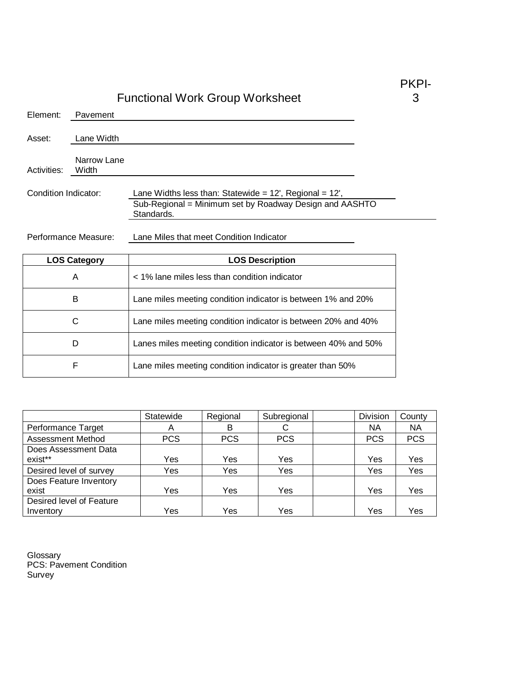| Element:             | Pavement             |                                                                                                                                        |  |
|----------------------|----------------------|----------------------------------------------------------------------------------------------------------------------------------------|--|
| Asset:               | Lane Width           |                                                                                                                                        |  |
| Activities:          | Narrow Lane<br>Width |                                                                                                                                        |  |
| Condition Indicator: |                      | Lane Widths less than: Statewide = $12'$ , Regional = $12'$ ,<br>Sub-Regional = Minimum set by Roadway Design and AASHTO<br>Standards. |  |

Performance Measure: Lane Miles that meet Condition Indicator

| <b>LOS Category</b> | <b>LOS Description</b>                                         |
|---------------------|----------------------------------------------------------------|
| A                   | < 1% lane miles less than condition indicator                  |
| B                   | Lane miles meeting condition indicator is between 1% and 20%   |
| С                   | Lane miles meeting condition indicator is between 20% and 40%  |
| D                   | Lanes miles meeting condition indicator is between 40% and 50% |
| F                   | Lane miles meeting condition indicator is greater than 50%     |

|                          | Statewide  | Regional   | Subregional | Division   | County     |
|--------------------------|------------|------------|-------------|------------|------------|
| Performance Target       | A          | в          |             | ΝA         | NA         |
| <b>Assessment Method</b> | <b>PCS</b> | <b>PCS</b> | <b>PCS</b>  | <b>PCS</b> | <b>PCS</b> |
| Does Assessment Data     |            |            |             |            |            |
| exist**                  | Yes        | Yes        | Yes         | Yes        | Yes        |
| Desired level of survey  | Yes        | Yes        | Yes         | Yes        | Yes        |
| Does Feature Inventory   |            |            |             |            |            |
| exist                    | Yes        | Yes        | Yes         | Yes        | Yes        |
| Desired level of Feature |            |            |             |            |            |
| Inventory                | Yes        | Yes        | Yes         | Yes        | Yes        |

Glossary PCS: Pavement Condition Survey